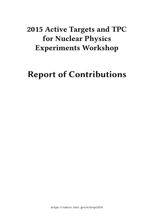# **2015 Active Targets and TPC for Nuclear Physics Experiments Workshop**

# **Report of Contributions**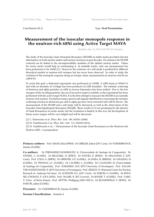Contribution ID: **2** Type: **Oral Presentation**

### **Measurement of the isoscalar monopole response in the neutron-rich 68Ni using Active Target MAYA**

*Monday, May 18, 2015 4:50 PM (25 minutes)*

The study of the Isoscalar Giant Monopole Resonance (ISGMR) in stable nuclei provided relevant information on both nuclear matter and nuclear structure in past decades. For instance the ISGMR centroid can be linked to the incompressibility modulus of the infinite nuclear matter. Values for exotic nuclei would help in constraining it. In unstable nuclei, only one measurement has been performed so far (56Ni) [1]. Moreover the existence of a soft mode is predicted by different theoritical models in neutron-rich isotopes but has never been observed. In order to study the evolution of the monopole response along an isotopic chain, measurements in neutron-rich Ni are called for.

To reach this goal, a dedicated experiment was performed at GANIL. A 68Ni beam at 50MeV/A and with an intensity of 4.104pps has been produced on LISE beamline. The inelastic scattering of deuteron and alpha particles on 68Ni in inverse kinematics has been studied. Due to the low energies of the recoiling particles, the use of an active target is suitable, so the experiment has been performed with the active target MAYA. It is the first attempt to measure the ISGMR in an unstable neutron-rich nucleus. Excitation energy spectra and angular distributions concerning the inelastic scattering reaction in deuterons gas and in alpha gas have been extracted and will be shown. The measurement of the ISGMR and a soft mode will be discussed, as well as the observation of the Isoscalar Giant Quadrupole Resonance (ISGQR). These results [2-3] are promising for the physics of Giant Resonances in exotic nuclei, but the resolution is limited, in this way the development of future active targets will be very helpful and will be discussed.

[1] C. Monrozeau et al., Phys. Rev. Lett. 100, 042501 (2008).

[2] M. Vandebrouck et al., Phys. Rev. Lett. 113, 032504 (2014).

[3] M. Vandebrouck et al., « Measurement of the Isoscalar Giant Resonances in the Neutron-rich Nucleus 68Ni » in preparation.

**Primary authors:** Prof. KHAN, Elias (IPNO); Dr GIBELIN, Julien (LPC Caen); Dr VANDEBROUCK, Marine (GANIL)

**Co-authors:** Dr FERNANDEZ-DOMINGUEZ, B. (Universidade de Santiago de Compostela); Dr STODEL, C. (GANIL); Dr BEAUMEL, D. (IPNO); Dr SUZUKI, D. (IPNO); Dr DELAUNAY, F. (LPC Caen); Prof. COLO, G. (INFN); Dr GRINYER, G.F. (GANIL); Dr BABA, H. (RIKEN); Dr SAVAJOLS, H. (GANIL); Dr THOMAS, J.C. (GANIL); Dr CACERES, L. (GANIL); Dr CAAMANO, M. (Universidade de Santiago de Compostela); Prof. HARAKEH, M.N. (KVI University of Groningen); Prof. KALAN-TAR-NAYESTANAKI, N. (KVI University of Groningen); Prof. KEELEY, N. (National Centre for Nuclear Research ul. Andrzeja Soł tana); Dr ACHOURI, N.L. (LPC Caen); Dr SORLIN, O. (GANIL); Dr ROUS-SEL-CHOMAZ, P. (CEA DSM); Prof. RAABE, R. (KU Leuven); Dr ROGER, T. (GANIL); Prof. GARG, U. (Univ. of Notre-Dame); Prof. MITTIG, Wolfgang (MSU-NSCL); Dr BLUMENFELD, Y. (IPNO); Dr PANCIN, julien (GANIL)

**Presenter:** Dr VANDEBROUCK, Marine (GANIL)

**Session Classification:** Session 4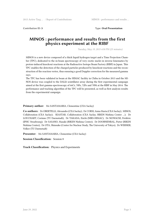Contribution ID: **3** Type: **Oral Presentation**

# **MINOS : performance and results from the first physics experiment at the RIBF**

*Tuesday, May 19, 2015 4:50 PM (25 minutes)*

MINOS is a new device composed of a thick liquid hydrogen target and a Time Projection Chamber (TPC), dedicated to the in-beam spectroscopy of very exotic nuclei in inverse kinematics by proton-induced knockout reactions at the Radioactive Isotope Beam Factory (RIBF) in Japan. This TPC enables the detection of the charged particles produced by knockout reactions and the reconstruction of the reaction vertex, thus ensuring a good Doppler correction for the measured gamma rays.

The TPC has been validated in beam at the HIMAC facility in Chiba in October 2013 and the MI-NOS device was coupled to the DALI2 scintillator array during the first experimental campaign aimed at the first gamma-spectroscopy of 66Cr, 70Fe, 72Fe and 78Ni at the RIBF in May 2014. The performance and tracking algorithm of the TPC will be presented, as well as first analysis results from the experimental campaign.

#### **Primary author:** Ms SANTAMARIA, Clementine (CEA Saclay)

**Co-authors:** Dr OBERTELLI, Alexandre (CEA Saclay); Dr CORSI, Anna Maria (CEA Saclay); MINOS, Collaboration (CEA Saclay); SEASTAR, Collaboration (CEA Saclay, RIKEN Nishina Center …); Dr LOUCHART, Corinne (TU Darmstadt); Dr TAKADA, Eiichi (NIRS-HIMAC); Dr NOWACKI, Frédéric (IPHC Strasbourg); Dr SASANO, Masaki (RIKEN Nishina Center); Dr DOORNENBAL, Pieter (RIKEN Nishina Center); Dr OTA, Shinsuke (Center for Nuclear Study, The University of Tokyo); Dr WERNER, Volker (TU Darmstadt)

**Presenter:** Ms SANTAMARIA, Clementine (CEA Saclay)

**Session Classification:** Session 8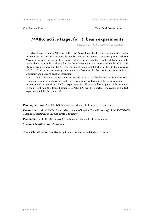Contribution ID: **4** Type: **Oral Presentation**

# **MAIKo active target for RI beam experiments**

*Tuesday, May 19, 2015 12:05 PM (25 minutes)*

An active target system MAIKo (Mu-PIC based Active target for Inverse Kinematics.) is under development at RCNP. This system is designed to perform missing mass spectroscopy with RI beam. Missing mass spectroscopy will be a powerful method to study high-excited states of unstable nuclei above particle decay thresholds. MAIKo is based on a time projection chamber (TPC). We utilize micro-pixel chamber  $(\mu$ -PIC) for the amplification and detection of the drifted electrons.  $\mu$ -PIC is a kind of micro-pattern gaseous detectors developed by the cosmic ray group at Kyoto University and has high position resolution.

In 2013, the first beam test experiment was carried out to study the detector performances such as angular resolution and gas gain under high beam rate. Scattering events were also acquired to develop a tracking algorithm. The first experiment with RI beam will be proposed in this summer. In the present talk, the detailed design of MAIKo TPC will be reported. The results of the test experiment will be also discussed.

**Primary author:** Mr FURUNO, Tatsuya (Department of Physics, Kyoto University)

**Co-authors:** Mr MURATA, Motoki (Department of Physics, Kyoto University); Prof. KAWABATA, Takahiro (Department of Physics, Kyoto University)

**Presenter:** Mr FURUNO, Tatsuya (Department of Physics, Kyoto University)

**Session Classification:** Session 6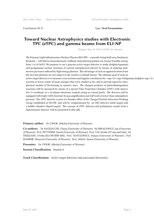Contribution ID: **5** Type: **Oral Presentation**

# **Toward Nuclear Astrophysics studies with Electronic TPC (eTPC) and gamma beams from ELI-NP**

*Monday, May 18, 2015 5:40 PM (25 minutes)*

The Extreme Light Infrastructure-Nuclear Physics (ELI-NP) – currently being built near Bucharest, Romania – will deliver monochromatic, brilliant and polarized gamma-ray beams (tunable energy from 1 to 20 MeV). We propose to use a gaseous active target detector to study (&alpha,&gamma) and (p,&gamma) nuclear reactions of current astrophysical interest by means of studying timeinverse processes induced by high energy photons. The advantage of such an approach stems from the fact that photons are not subject to the nuclear Coulomb barrier. The ultimate goal of such an active target detector is to measure cross sections and angular correlations for  $\langle \text{sup>16}\rangle$ (&gamma,&alpha) $\langle \text{sup>12}\rangle$ reaction at lower center-of-mass energies that were studied so far, and to provide input for astrophysical models of He-burning in massive stars. The charged products of photodisintegration reactions will be measured by means of a special Time Projection Chamber (eTPC) with innovative 3-coordinate (u-v-w) planar electronic readout acting as virtual pixels. The detector will be equipped with triple-GEM structure for gas amplification and will work at lower-than-atmospheric pressure. The eTPC detector is part of a broader effort of the Charged Particle Detection Working Group established at ELI-NP, and will be complemented by: an SSD detector (solid target) and a bubble chamber (liquid target). The concept of eTPC detector and preliminary results from a demonstrator detector will be presented in this talk.

**Primary author:** Dr CWIOK, Mikolaj (University of Warsaw)

**Co-authors:** Dr MAZZOCCHI, Chiara (University of Warsaw); Mr BIHALOWICZ, Jan (University of Warsaw); Prof. PFUTZNER, Marek (University of Warsaw); Prof. GAI, Moshe (UConn and Yale); Dr TESILEANU, Ovidiu (ELI-NP/IFIN-HH); Prof. MATULEWICZ, Tomasz (University of Warsaw); Prof. DOMINIK, Wojciech (University of Warsaw); Prof. JANAS, Zenon (University of Warsaw)

**Presenter:** Dr CWIOK, Mikolaj (University of Warsaw)

#### **Session Classification:** Session 4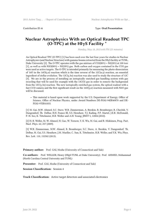Contribution ID: **6** Type: **Oral Presentation**

### **Nuclear Astrophysics With an Optical Readout TPC (O-TPC) at the HIγS Facility \***

*Monday, May 18, 2015 6:05 PM (25 minutes)*

An Optical Readout TPC (O-TPC) [1] has been used over the last four years for studies in Nuclear Astrophysics (and Nuclear Structure) with gamma-beams extracted from the HIγS facility at TUNL, Duke University [2]. The O-TPC operates with the gas mixture of CO2(80%) + N2(20%) at 100 torr [1], as well as with N2O(80%) + N2(20%) gas. Both carbon and oxygen contained in the CO2 gas were used as active targets. The O-TPC is intended primarily for measuring the photo-dissociation of 16O in the 16O(γ,α) reaction which is the time reverse of the 12C(α,γ) reaction, an essential ingredient of stellar evolution. The  $12C(y,3\alpha)$  reaction was also used to study the structure of 12C [3]. We are in the process of installing an isotopically enriched gas handling system with gas recycling that will be used for example with the 13CO2 gas in order to remove the background from the  $12C(\gamma,3\alpha)$  reaction. The new isotopically enriched gas system, the optical readout with a fast CCD camera and the first significant result on the 16O( $\gamma$ , $\alpha$ ) reaction measured with N2O gas will be discussed.

• This material is based upon work supported by the U.S. Department of Energy, Office of Science, Office of Nuclear Physics, under Award Numbers DE-FG02-94ER40870 and DE-FG02-97ER41033.

[1] M. Gai, M.W. Ahmed, S.C. Stave, W.R. Zimmerman, A. Breskin, B. Bromberger, R. Chechik, V. Dangendorf, Th. Delbar, R.H. France III, S.S. Henshaw, T.J. Kading, P.P. Martel, J.E.R. McDonald, P.-N. Seo, K. Tittelmeier, H.R. Weller and A.H. Young; JINST 5, 12004 (2010).

[2] H. R. Weller, M. W. Ahmed, H. Gao, W. Tornow, Y. K. Wu, M. Gai, and R. Miskimen, Prog. Part. Nucl. Phys. 62, 257 (2009).

[3] W.R. Zimmerman, M.W. Ahmed, B. Bromberger, S.C. Stave, A. Breskin, V. Dangendorf, Th. Delbar, M. Gai, S.S. Henshaw, J.M. Mueller, C. Sun, K. Tittelmeier, H.R. Weller, and Y.K. Wu; Phys. Rev. Lett. 110, 152502 (2013).

**Primary author:** Prof. GAI, Moshe (University of Connecticut and Yale)

**Co-authors:** Prof. WELLER, Henry (HIgS/TUNL at Duke University); Prof. AHMED, Mohammad (North Carolina Central University and TUNL)

**Presenter:** Prof. GAI, Moshe (University of Connecticut and Yale)

**Session Classification:** Session 4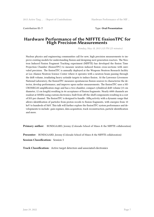Contribution ID: **7** Type: **Oral Presentation**

### **Hardware Performance of the NIFFTE fissionTPC for High Precision Measurements**

*Monday, May 18, 2015 2:25 PM (25 minutes)*

Nuclear physics and engineering communities call for new, high precision measurements to improve existing models for understanding fission and designing next generation reactors. The Neutron Induced Fission Fragment Tracking experiment (NIFFTE) has developed the fission Time Projection Chamber (fissionTPC) to measure neutron induced fission cross-sections with unrivaled precision. The fissionTPC is annually deployed at the Weapons Neutron Research facility at Los Alamos Neutron Science Center where it operates with a neutron beam passing through the drift volume, irradiating heavy actinide targets to induce fission. At the Lawrence Livermore National Laboratory, the fissionTPC measures spontaneous fission sources to characterize the detector, develop performance, and improve upon earlier measurements. The fissionTPC uses a MI-CROMEGAS amplification stage and has a two-chamber, compact cylindrical drift volume (15 cm diameter, 12 cm length) resulting in 4π acceptance of fission fragments. Nearly 6000 channels are readout at 50MHz using custom electronics, built from off-the-shelf components resulting in a cost of \$55 per channel. The fissionTPC is designed to handle ~MBq activity with a dynamic range that allows identification of particles from proton recoils to fission fragments, with energies from 10 keV to hundreds of MeV. This talk will further explore the fissionTPC system performance and developments to include: gain regimes, data acquisition, track reconstruction, particle identification and more.

**Primary author:** BUNDGAARD, Jeremy (Colorado School of Mines & the NIFFTE collaboration)

**Presenter:** BUNDGAARD, Jeremy (Colorado School of Mines & the NIFFTE collaboration)

**Session Classification:** Session 3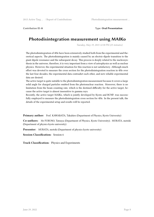Contribution ID: **8** Type: **Oral Presentation**

# **Photodisintegration measurement using MAIKo**

*Tuesday, May 19, 2015 12:30 PM (25 minutes)*

The photodisintegration of 4He have been extensively studied both from the experimental and theoretical aspects. The photodisintegration is mainly caused by an electric-dipole transition to the giant dipole resonance and the subsequent decay. This process is deeply related to the nucleosynthesis in the universe, therefore, it is very important from a view of astrophysics as well as nuclear physics. However, the experimental situation for this reaction is not satisfactory. Although much effort was devoted to measure the cross section for the photodisintegration reaction in 4He over the last four decades, the experimental data contradict each other, and new reliable experimental data are desired.

The active target is quite suitable to the photodisintegration measurement because it covers a large solid angle for charged particles emitted from the photonuclear reaction. Moreover, there is no limitation from the beam counting rate, which is the destined difficulty for the active target, because the active target is almost insensitive to gamma rays.

Recently, the active target MAIKo, which is jointly developed by Kyoto and RCNP, was successfully employed to measure the photodisintegration cross section for 4He. In the present talk, the details of the experimental setup and results will be reported.

**Primary author:** Prof. KAWABATA, Takahiro (Department of Physics, Kyoto University)

**Co-authors:** Mr FURUNO, Tatsuya (Department of Physics, Kyoto University); MURATA, motoki (Department of physics kyoto university)

**Presenter:** MURATA, motoki (Department of physics kyoto university)

**Session Classification:** Session 6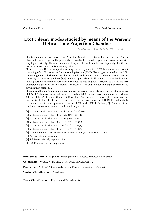Contribution ID: **9** Type: **Oral Presentation**

### **Exotic decay modes studied by means of the Warsaw Optical Time Projection Chamber**

*Monday, May 18, 2015 6:30 PM (25 minutes)*

The development of an Optical Time Projection Chamber (OTPC) at the University of Warsaw about a decade ago opened the possibility to investigate a broad range of rare decay modes with very high sensitivity. The detection of one decay event is sufficient to unambiguously identify the decay mode and establish its branching ratio.

The detector is a TPC with amplification stage formed by a stack of GEM foils and optical readout consisting of a CCD camera and a photomultiplier tube (PMT). The images recorded by the CCD camera together with the time distribution of light collected in the PMT allow to reconstruct the trajectory of the decay products [1,2]. Such an approach is ideally suited to study the decay by (multi-) particle emission of very exotic isotopes. It was originally designed to obtain the first unambiguous proof of the two-proton (2p) decay of 45Fe and to study the angular correlations between the protons [3].

The same methodology and detection set-up was successfully applied also to measure the 2p decay of 48Ni [2,4], to discover the beta-delayed 3 proton (β3p) emission decay branch in 45Fe [5], and 43Cr [6] at the NSCL, and in 31Ar at GSI Darmstadt [7,8],. Moreover, it was applied to measure the energy distribution of beta-delayed deuterons from the decay of 6He at ISOLDE [9] and to study the beta-delayed tritium-alpha-neutron decay of 8He at the JINR in Dubna [10]. A review of the results and an outlook on future studies will be presented.

- [1] M. Ćwiok et al., IEEE Trans. Nucl. Sci. 52 (2005) 1895.
- [2] M. Pomorski et al., Phys. Rev. C 90, 014311 (2014).
- [3] K. Miernik et al., Phys. Rev. Lett 99 (2007) 192501.
- [4] M. Pomorski et al., Phys. Rev. C 83 (2011) 061303(R).
- [5] K. Miernik et al., Phys. Rev. C 76 (2007) 041304(R).
- [6] M. Pomorski et al., Phys. Rev. C 83 (2011) 014306.
- [7] M. Pfützner et al., GSI-SR2012-PHN-ENNA-EXP-17, GSI Report 2013-1 (2012).
- [8] A. Lis et al., in preparation.
- [9] S. Mianowski et al., in preparation.
- [10] M. Pfützner et al., in preparation.

Primary author: Prof. JANAS, Zenon (Faculty of Physics, Uniwesity of Warsaw)

**Co-author:** WARSAW - DUBNA OTPC COLLABORATION, . (.)

Presenter: Prof. JANAS, Zenon (Faculty of Physics, Uniwesity of Warsaw)

**Session Classification:** Session 4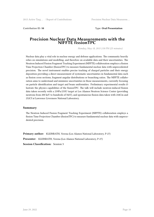Contribution ID: **10** Type: **Oral Presentation**

### **Precision Nuclear Data Measurements with the NIFFTE fissionTPC**

*Monday, May 18, 2015 2:50 PM (25 minutes)*

Nuclear data play a vital role in nuclear energy and defense applications. The community heavily relies on simulations and modelling, and therefore on available data and their uncertainties. The Neutron Induced Fission Fragment Tracking Experiment (NIFFTE) collaboration employs a fission Time Projection Chamber (fissionTPC) to measure fundamental nuclear data with unprecedented precision. The novel instrument enables precise tracking of charged particles and their energy deposition providing a direct measurement of systematic uncertainties in fundamental data such as fission cross sections, fragment angular distributions or branching ratios. The NIFFTE collaboration aims to understand and minimize uncertainties in those measurements, currently focusing on particle identification and target and beam uniformities. Preliminary experimental results illustrate the physics capabilities of the fissionTPC. The talk will include neutron-induced fission data taken recently with a 239Pu/235U target at Los Alamos Neutron Science Center (providing neutrons from 200 keV to hundreds of MeV), and spontaneous fission data taken with 244Cm and 252Cf at Lawrence Livermore National Laboratory.

#### **Summary**

The Neutron Induced Fission Fragment Tracking Experiment (NIFFTE) collaboration employs a fission Time Projection Chamber (fissionTPC) to measure fundamental nuclear data with unprecedented precision.

**Primary author:** KLEINRATH, Verena (Los Alamos National Laboratory, P-27) **Presenter:** KLEINRATH, Verena (Los Alamos National Laboratory, P-27)

**Session Classification:** Session 3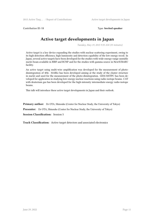Contribution ID: **11** Type: **Invited speaker**

# **Active target developments in Japan**

*Tuesday, May 19, 2015 9:35 AM (35 minutes)*

Active target is a key device expanding the studies with nuclear scattering experiment, owing to its high detection efficiency, high luminosity and detection capability of the low energy recoil. In Japan, several active targets have been developed for the studies with wide-energy-range unstable nuclei beam available in RIBF and RCNP and for the studies with gamma source in NewSUBARU facility.

An active target using multi-wire amplification was developed for the measurement of photodisintegration of 4He. MAIKo has been developed aiming at the study of the cluster structure in nuclei and used for the measurement of the photo-disintegration. GEM-MSTPC has been developed for application in studying low-energy nuclear reactions using radio-isotope beams. CAT with deuterium gas has been developed for the high-intensity intermediate-energy radio-isotope beams.

This talk will introduce these active target developments in Japan and their outlook.

**Primary author:** Dr OTA, Shinsuke (Center for Nuclear Study, the University of Tokyo)

**Presenter:** Dr OTA, Shinsuke (Center for Nuclear Study, the University of Tokyo)

**Session Classification:** Session 5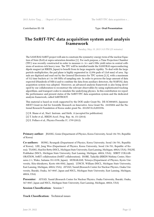Contribution ID: **13** Type: **Oral Presentation**

### **The SπRIT-TPC data acquisition system and analysis framework**

*Tuesday, May 19, 2015 3:15 PM (25 minutes)*

The SAMURAI-SπRIT project will aim to constrain the symmetry-energy term of the nuclear Equation of State (EoS) at supra-saturation densities [1]. For such purpose, a Time Projection Chamber (TPC) was recently constructed in order to measure π−/π+ and t/3He yield ratios in central collisions of neutron-rich heavy ions. The TPC will be installed inside the SAMURAI superconducting dipole magnet (at RIKEN, Japan) to benefit from its large magnetic rigidity. To deal with the large particle multiplicities, the pad plane is highly segmented in 12,096 pads of 12x8 mm2 of area. Signals are digitized and read out by the General Electronics for TPC system [2,3], with a maximum of 512 time buckets at 1 to 100 MHz of sampling rate. In order to process the large amount of data expected (Hundreds of MB/s) and to combine the data from auxiliary detectors, the NARVAL data acquisition system was adopted. Moreover, an advanced analysis framework is also being developed by our collaboration to reconstruct the relevant observables by using sophisticated tracking algorithms, and transport codes to simulate the underlying physics. In this contribution we report the performance and present status of the SπRIT-TPC data acquisition system and the dedicated analysis framework, called SπRITROOT.

This material is based on work supported by the DOE under Grant No. DE-SC0004835, Japanese MEXT Grant-in-Aid for Scientific Research on Innovative Area Grant No. 24105004 and the National Research Foundation of Korea under grant No. 2012M7A1A2055596.

- [1] R. Shane et al., Nucl. Instrum. and Meth. A (accepted for publication).
- [2] T. Isobe et al., RIKEN Accel. Prog. Rep. 46, 151 (2014).
- [3] E. Pollaco et al., Physics Procedia 37, 1799 (2012).

**Primary author:** JHANG, Genie (Department of Physics, Korea University, Seoul 136-701, Republic of Korea)

**Co-authors:** HONG, Byungsik (Department of Physics, Korea University, Seoul 136-701, Republic of Korea); LEE, Jung Woo (Department of Physics, Korea University, Seoul 136-701, Republic of Korea); TSANG, ManYee Betty (NSCL, Michigan State University, East Lansing, Michigan, 48824, USA); PALNI, Prabhakar (NSCL, Michigan State University, East Lansing, Michigan, 48824, USA); SΠRIT COLLAB-ORATION, SπRIT collaboration (SπRIT collaboration); ISOBE, TadaAki (RIKEN Nishina Center, Hirosawa 2-1, Wako, Saitama 351-0198, Japan); MURAKAMI, Tetsuya (Department of Physics, Kyoto University, Kita-shirakawa, Kyoto 606-8502, Japan); LYNCH, William (NSCL, Michigan State University, East Lansing, Michigan, 48824, USA); AYYAD, Yassid (Research Center for Nuclear Physics, Osaka University, Ibaraki, Osaka, 567-0047, Japan and NSCL, Michigan State University, East Lansing, Michigan, 48824, USA)

**Presenter:** AYYAD, Yassid (Research Center for Nuclear Physics, Osaka University, Ibaraki, Osaka, 567-0047, Japan and NSCL, Michigan State University, East Lansing, Michigan, 48824, USA)

#### **Session Classification:** Session 7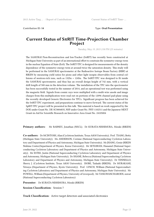Contribution ID: **14** Type: **Oral Presentation**

### **Current Status of SπRIT Time-Projection Chamber Project**

*Tuesday, May 19, 2015 2:50 PM (25 minutes)*

The SAMURAI Pion-Reconstruction and Ion-Tracker (SπRIT) has recently been constructed at Michigan State University as part of an international effort to constrain the symmetry-energy term in the nuclear Equation of State (EoS). The  $S\pi RIT-TPC$  is designed for measurements of the density dependence of the symmetry-energy term at around twice the saturation density. This study will be performed in the SAMURAI spectrometer at the Radioactive Isotope Beam Factory (RIBF) at RIKEN by measuring yield ratios for pions and other light isospin observables from central collisions of neutron-rich ions, such as 132Sn + 124Sn. The SπRIT-TPC was designed to fit inside the SAMURAI spectrometer, and thus has an overall design height of 742 mm, with a vertical drift length of 500 mm in the detection volume. The installation of the TPC into the spectrometer has been successfully tested in the summer of 2014, and an operational test was performed using the magnetic field. Signals from cosmic rays were multiplied with a multi-wire anode and image charges from this multiplication were read out on portions of the 12096 channel pad-plane using the recently developed Generic Electronics for TPCs. Significant progress has been achieved for the SπRIT-TPC experiment, and preparations continue to move forward. The current status of the SpRIT-TPC project will be presented in this talk. This material is based on work supported by the DOE under Grant No. DE-SC0004835, NSF under Grant No. PHY-1102511 and the Japanese MEXT Grant-in-Aid for Scientific Research on Innovative Area Grant No. 24105004

**Primary authors:** Mr BARNEY, Jonathan (NSCL); Dr KURATA-NISHIMURA, Mizuki (RIKEN)

**Co-authors:** Dr MCINTOSH, Alan (Cyclotron Institute, Texas A&M University); Prof. TSANG, Betty (Michigan State University); Ms ANDERSON, Corinne (National Superconducting Cyclotron Laboratory and Department of Physics and Astronomy, Michigan State University); Mr JHANG, Genie (RIKEN Nishina Center,Department of Physics, Korea University); Mr SETIAWAN, Hananiel (National Superconducting Cyclotron Laboratory and Department of Physics and Astronomy, Michigan State University); Mr ESTEE, Justin (National Superconducting Cyclotron Laboratory and Department of Physics and Astronomy, Michigan State University); Dr SHANE, Rebecca (National Superconducting Cyclotron Laboratory and Department of Physics and Astronomy, Michigan State University); Dr YENNELLO, Sherry J. (Cyclotron Institute, Texas A&M University); ISOBE, Tadaaki (RIKEN); Dr MURAKAMI, Tetsuya (Department of Physics, Kyoto University); Prof. LYNCH, William (National Superconducting Cyclotron Laboratory and Department of Physics and Astronomy, Michigan State University); Mr POWELL, William (Department of Physics, University of Liverpool); Mr TANGWANCHAROEN, suwat (National Superconducting Cyclotron Laboratory)

**Presenter:** Dr KURATA-NISHIMURA, Mizuki (RIKEN)

**Session Classification:** Session 7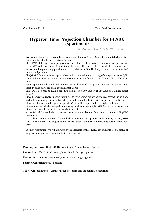Contribution ID: **15** Type: **Oral Presentation**

# **Hyperon Time Projection Chamber for J-PARC experiments**

*Tuesday, May 19, 2015 2:00 PM (25 minutes)*

We are developing a Hyperon Time Projection Chamber (HypTPC) as the main detector of two experiments at the J-PARC Hadron Facility.

The J-PARC E42 experiment proposes to search for the H-dibaryon resonance in  $\Lambda\Lambda$  production from (*K−, K*+) reactions off nuclei and the bound H-dibayron by its weak decays in order to answer the long-standing question about the existence of the H-dibaryon, which has a "*uuddss*" quark configuration.

The J-PARC E45 experiment approaches to fundamental understanding of non-perturbative QCD through high-precision data of baryon resonance spectra for  $\pi N \to \pi \pi N$  and  $\pi N \to KY$  channels.

Both experiments demand high-intense hadron beams of  $10^6$  cps and detector acceptance of almost 4*π* solid angle around a experimental target.

HypTPC is designed to have a sensitive volume of *ϕ*~500\,mm~*×* H~550\,mm and a inner target holder.

Since beams are directly injected into the sensitive volume, we are able to reconstruct the primary vertex by measuring the beam trajectory in addition to the trajectories for produced particles. However, it is very challenging to operate a TPC with a exposure to the high-rate beam.

Our solutions are electron amplification using Gas Electron Multipliers (GEMs) and a gating method of electric filed with wires to control electron drift.

A specialized frontend electronics are also essential to handle about 6000 channels of HypTPC readout pads.

We collaborate with the GET (General Electronics for TPC) project led by Saclay, GANIL, MSU, IRFU and CERNBG. The project provides us the total readout system including hardware and software.

In this presentation, we will discuss physics interests of the J-PARC experiments. R\&D status of HypTPC with the GET system will also be reported.

**Primary author:** Dr SAKO, Hiroyuki (Japan Atomic Energy Agency)

**Co-author:** Dr HOSOMI, Kenji (Japan Atomic Energy Agency)

**Presenter:** Dr SAKO, Hiroyuki (Japan Atomic Energy Agency)

**Session Classification:** Session 7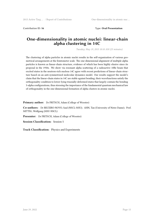Contribution ID: 16 Type: Oral Presentation

# **One-dimensionality in atomic nuclei: linear-chain alpha clustering in 14C**

*Tuesday, May 19, 2015 10:10 AM (25 minutes)*

The clustering of alpha particles in atomic nuclei results in the self-organization of various geometrical arrangements at the femtometer scale. The one-dimensional alignment of multiple alpha particles is known as linear-chain structure, evidence of which has been highly elusive since its proposal in the 1950s. We show via resonant alpha scattering of a radioactive 10Be beam that excited states in the neutron-rich nucleus 14C agree with recent predictions of linear-chain structure based on an anti-symmetrized molecular dynamics model. Our results support the model's claim that the linear-chain states in 14C are stable against bending; their wavefunctions satisfy the orthogonality condition to lower-lying triaxially-deformed states that largely contain the bending 3-alpha configurations, thus stressing the importance of the fundamental quantum mechanical law of orthogonality in the one-dimensional formation of alpha clusters in atomic nuclei.

**Primary author:** Dr FRITSCH, Adam (College of Wooster)

**Co-authors:** Dr BECEIRO-NOVO, Saul (NSCL-MSU); AHN, Tan (University of Notre Dame); Prof. MITTIG, Wolfgang (MSU-NSCL)

Presenter: Dr FRITSCH, Adam (College of Wooster)

**Session Classification:** Session 5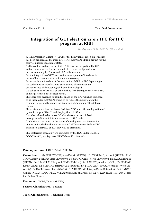Contribution ID: **17** Type: **Oral Presentation**

# **Integration of GET electronics on TPC for HIC program at RIBF**

*Tuesday, May 19, 2015 2:25 PM (25 minutes)*

A Time Projection Chamber~(TPC) for the heavy ion collision experiments has been produced as the main detector of SAMURAI-SPiRIT project for the study of nuclear equation of state. As the readout system for the SPiRIT-TPC, we are integrating the GET system, which stands for the Genaral Electronics for Tpc and was developed mainly by France and USA collaboration. For the integration of GET electronics, development of interfaces in terms of both hardware and software are nessesary. For example, the interface of the electronics of GET to TPC depending on the each detector specifications, such as type of connector and characteristics of detector signal, has to be developed. We call such interface ZAP board, which is for adapting connector on TPC and for protection of electrical circuit. The board was designed to fit in the space on the TPC which is supposed to be installed in SAMURAI chamber, to reduce the noise to gain the dynamic range, and to reduce the distortion of gain among the different channel. The achived noise level with our ZAP is 4~ADC under the configuration of dynamic range of 120~fC and shaping time of 233~nsec. It can be reduced to be 2*∼*3~ADC after the subtraction of fixed noise pattern line which is not connected to TPC pads. In addition to the report of the status of development and intergration of electronics, the benchmark test data of GET system on Brahms-TPC performed at HIMAC at 2014 Nov will be presented.

This material is based on work supported by the DOE under Grant No. DE-SC0004835, and Japanese MEXT Grant No. 24105004.

#### **Primary author:** ISOBE, Tadaaki (RIKEN)

**Co-authors:** Ms PERREVOORT, Ann-Kathrin (RIKEN); Dr TAKETANI, Atsushi (RIKEN); Prof. TSANG, Betty (Michigan State University); Mr JHANG, Genie (Korea University); Dr BABA, Hidetada (RIKEN); Prof. SAKURAI, Hiroyoshi (RIKEN/U-Tokyo); Mr BARNEY, Jonathan (NSCL); Dr HOSOMI, Kenji (JAEA); Dr KURATA-NISHIMURA, Mizuki (RIKEN); Mr NAKATSUKA, Noritsugu (Kyoto University); Dr HASEGAWA, Shoichi (JAEA); Dr MURAKAMI, Tetsuya (Kyoto University); Prof. LYNCH, William (NSCL); Mr POWELL, William (University of Liverpool); Dr AYYAD, Yassid (Research Center for Nuclear Physics)

**Presenter:** ISOBE, Tadaaki (RIKEN)

**Session Classification:** Session 7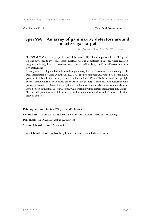Contribution ID: **18** Type: **Oral Presentation**

# **SpecMAT: An array of gamma-ray detectors around an active gas target**

*Tuesday, May 19, 2015 5:15 PM (25 minutes)*

The ACTAR TPC active target project, which is based at GANIL and supported by an ERC grant, is being developed to investigate exotic nuclei at various laboratories in Europe. A rich research program including direct and resonant reactions, as well as decays, will be addressed with this new instrument.

In many cases, it is highly desirable to collect gamma-ray information concurrently to the particle track information obtained with the ACTAR TPC. The project SpecMAT, funded by a second ERC grant, seeks this objective through either scintillators (LaBr3:Ce or CeBr3), or Broad Energy highpurity Germanium (BEGe) detectors, around the active gas target. Tests are to be performed with prototype detectors to determine the optimum combination of materials, dimensions and electronics to be used in the final SpecMAT setup, while working within certain mechanical limitations. This talk will present results of these tests, as well as simulations performed in Geant4 for the final array of detectors.

**Primary author:** Dr SWARTZ, Jacobus (KU Leuven) **Co-authors:** Dr DE WITTE, Hilde (KU Leuven); Prof. RAABE, Riccardo (KU Leuven) **Presenter:** Dr SWARTZ, Jacobus (KU Leuven) **Session Classification:** Session 8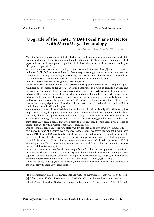Contribution ID: **19** Type: **Oral Presentation**

# **Upgrade of the TAMU MDM-Focal Plane Detector with MicroMegas Technology**

*Tuesday, May 19, 2015 3:40 PM (25 minutes)*

MicroMegas is a relatively new detector technology that operates as a two stage parallel plate avalanche chamber. It consists of a small amplification gap (50-300 um) and a much larger drift gap (on the order of cm) separated by a thin electroformed micromesh. It has been shown to provide gains of up to  $10<sup>16</sup>$ . [1]

We have previously used this technology at our Institute in the AstroBox [2], a detector system built specifically for low noise and used to detect very low-energy protons from beta-delayed proton emitters. During these decay experiments, we observed that this device also detected the incoming energetic heaver ions with good resolution for particle identification.

This latter result was the starting point for the upgrade of

the MDM-Oxford detector, which is the principle focal plane detector of the Multipole-Dipole-Multipole spectrometer at Texas A&M Cyclotron Institute. It is used to identify particles and measure their positions along the dispersive x-direction. Using raytrace reconstruction we can determine the scattering angle at the target as a function of the angle of the particle path in the detector. In the nuclear astrophysics group, this setup has been used primarily to study scattering and transfer reactions involving nuclei with A≤26. However at higher masses than that, we found that we are having significant difficulties with the particle identification due to the insufficient resolution of both the dE and E signals.

A detailed description of the MDM detector can be found in ref [3]. Briefly, dE is the energy lost by particles passing through an ionization gas and is measured by three Aluminum anode plates. Currently, the first two plates connected produce a signal we call ΔE1 with energy resolution of 10-15%. This is enough for particles with A <20 but starts becoming problematic above that. The third plate, ΔE2, gives a signal that is too noisy to be of any use. For this reason, we decided to replace this anode with a MicroMegas plate of identical size.

Due to technical constraints, the new plate was divided into 28 pads (4 rows x 7 columns). Therefore, instead of one ΔE2 energy loss signal, we now detect 28. We tested the new setup with three beams, 16O, 22Ne and 28Si scattered elastically off gold foil. Preliminary results indicate a definite improvement in dE detection. We operated the Micromegas without issues at isobutane pressures from 100 Torr down to 30 Torr. Energy resolution varies from 5-6% at higher pressure to 10-11% at lower pressure. For all three beams, we obtained improved Z separation and intend to continue testing with heavier beams, A>28.

Given the current results we feel that we can go forward with using the upgraded system for experiments in the mass region of the tests. Specifically, we intend to continue studying nucleon capture reactions that present an interest in explosive nucleosynthesis, 27Al(n,g), as well various peripheral transfer reaction for optical potential model studies, 22Ne(n,g), 28Si(n,g).

When the facility-wide upgrade is completed, the modified detector is intended to also be used in experiments with radioactive ion beams.

- [1] Y. Giomataris et al., Nuclear Instruments and Methods in Physics Research A 376 , 29-35 (1996)
- [2] Pollacco et al., Nuclear Instruments and Methods in Physics Research A, 723, 102 (2013)
- [3] D. H. Youngblood et al., Nuclear Instruments and Methods in Physics Research A 361, 359 (1995)

**Primary author:** Ms SPIRIDON, Alexandra (Cyclotron Institute-Texas A& M University)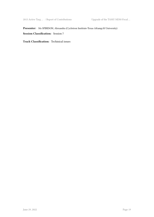Presenter: Ms SPIRIDON, Alexandra (Cyclotron Institute-Texas A&M University) **Session Classification:** Session 7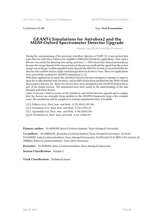Contribution ID: **20** Type: **Oral Presentation**

### **GEANT4 Simulations for Astrobox2 and the MDM-Oxford Spectrometer Detector Upgrade**

*Monday, May 18, 2015 12:05 PM (25 minutes)*

During the commissioning of the prototype AstroBox1 detector at TAMU [1], it was noticed that a gas detector with Micro Pattern Gas Amplifiers (MPGAD) [2] had two applications. First, such a detector was useful for detecting low-energy protons ( < 1 MeV) from beta-delayed proton decay because the energy deposit of the beta-particles in the gas was small and the signal from the proton energy loss in the gas could be amplified many times by the MPGAD. Second, it was noticed that the detector also could be used as a high-resolution gas detector for heavy-ions. These two applications were successfully modeled by GEANT4 simulations [1, 3].

With these applications in mind, the Astrobox2 detector has been designed to attempt to improve upon the results obtained with Astrobox1, and an MPGAD has been installed into the MDM-Oxford Spectrometer detector [4]. These two devices have been simulated in the GEANT4 framework as part of the design process. The simulations have been useful in the understanding of the data obtained with these devices.

I plan to present a brief overview of the Astrobox2 and Oxford detector upgrade and to explain how the devices are currently being modeled in the GEANT4 framework using a few example cases. The simulations will be compared to existing experimental data, if available.

- [1] E. Pollacco et al., Nucl. Instr. and Meth. A 723 (2013) 102-108.
- [2] Y. Giomataris et al., Nucl. Instr. and Meth. A 376 (1996) 29.
- [3] S. Agostinelli et al., Nucl. Instr. and Meth. A 506 (2003) 250.
- [4] J.S. Winfield et al., Nucl. Instr. and Meth. A 251 (1986) 297.

**Primary author:** Dr ROEDER, Brian (Cyclotron Institute, Texas A&M University)

Co-authors: Ms SPIRIDON, Alexandra (Cyclotron Institute-Texas A&M University); Dr SAAS-TAMOINEN, Antti (Cyclotron Insititute, Texas A&M University); Dr POLLACCO, E. (IRFU, CEA-Saclay); Dr TRIBBLE, Robert (Cyclotron Institute, Texas A&M University)

**Presenter:** Dr ROEDER, Brian (Cyclotron Institute, Texas A&amp:M University)

**Session Classification:** Session 2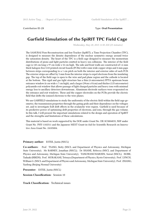Contribution ID: **21** Type: **Oral Presentation**

# **Garfield Simulation of the SpiRIT TPC Field Cage**

*Wednesday, May 20, 2015 11:50 AM (25 minutes)*

The SAMURAI Pion-Reconstruction and Ion-Tracker (SpiRIT), a Time Projection Chamber (TPC), is designed to measure the density dependence of the nuclear symmetry energy around twice the saturation density. The heart of the TPC is a field cage designed to measure the momentum distributions of pions and light particles emitted in heavy ion collisions. The interior of the field cage is 145 cm long x 97 cm wide x 52 cm high. The side and front walls are constructed of 1.6 mm thick halogen-free G10 printed circuit boards (PCBs) with 6 mm wide copper strips and 4 mm gaps between strips corresponding to a 1 cm pitch on both the interior and exterior sides of each PCB. The exterior strips are offset by 5 mm from the interior strips to expel electrons from the insulating gap. The top of the field cage is open to the wire and pad plane region and the cathode is located at the bottom. This rigid and gas tight structure has a thin (4 micrometer) PPTA upstream beam entrance window (6 cm wide x 7 cm high), and a larger (39cm x 81cm) and thicker (125 micrometer) polyamide exit window that allows passage of light charged particles and heavy ions with minimal energy loss to ancillary detectors downstream. Aluminum electrode surfaces were evaporated on the entrance and exit windows. These and the copper electrodes on the PCBs provide the electric field that drifts the ionized electrons to the wire planes.

We use GARFIELD simulations to study the uniformity of the electric field within the field cage geometry, the transmission properties through the gating grids and their dependence on the voltages set, and to investigate ExB drift effects in the avalanche wire region. Garfield is used because of its predictive power of optimizing drift properties of electrons, and ions, through the gas volume. In this talk, I will present the important simulations related to the design and operation of SpiRIT and the strengths and limitations of these calculations.

This material is based on work supported by the DOE under Grant No. DE-SC0004835, NSF under Grant No. PHY-1102511 and the Japanese MEXT Grant-in-Aid for Scientific Research on Innovative Area Grant No. 24105004.

**Primary author:** ESTEE, Justin (NSCL)

**Co-authors:** Prof. TSANG, Betty (NSCL and Department of Physics and Astronomy, Michigan State University); Mr BARNEY, Jonathan (NSCL); Dr SHANE, Rebecca (NSCL and Department of Physics and Astronomy, Michigan State University); TANGWANCHAROEN, Suwat (NSCL); ISOBE, Tadaaki (RIKEN); Prof. MURAKAMI, Tetsuya (Department of Physics, Kyoto University); Prof. LYNCH, William G. (NSCL and Department of Physics and Astronomy, Michigan State University); Prof. ZHANG, Yaofeng (Beijing Normal University)

**Presenter:** ESTEE, Justin (NSCL)

**Session Classification:** Session 10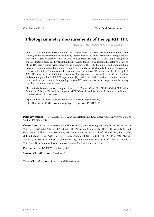Contribution ID: **22** Type: **Oral Presentation**

# **Photogrammetry measurements of the SpiRIT TPC**

*Wednesday, May 20, 2015 11:25 AM (25 minutes)*

The SAMURAI Pion‐Reconstruction and Ion‐Tracker (SpiRIT), a Time Projection Chamber (TPC), is designed for measurements of the density dependence of the nuclear symmetry energy around twice the saturation density. This TPC will be used inside the large SAMURAI dipole magnet in the Rare Isotope Beam Facility (RIBF) in RIKEN Wako, Japan. To understand the relative locations of the TPC drift volume, with respect to the enclosure of the TPC, the dipole, and other auxiliary detectors, we use a calibrated camera system from Geodetic in which multiple photographs can be reconstructed into a 3-dimenstional coordinate system to make 3D measurements of the SpiRIT TPC. This measurement technique known as photogrammetry is accurate to <100 micrometers and commonly used in SAMURAI experiments [2]. In this talk, I will describe the precise measurements and the uncertainties in mapping various TPC components in the magnet chamber using the photogrammetry technique.

This material is based on work supported by the DOE under Grant No. DE-SC0004835, NSF under Grant No. PHY-1102511 and the Japanese MEXT Grant-in-Aid for Scientific Research on Innovative Area Grant No. 24105004

[1] R. Shane et al., Nucl. Instrum. and Meth. A (accept for publication) [2] H.Otsu, et. al., RIKEN accelerator progress report vol. 46 (2013) 149.

**Primary author:** Dr MCINSTOSH, Alan (2Cyclotron Institute, Texas A&M University, College Station, TX 77843, USA)

**Co-authors:** OTSU, Hideaki (RIKEN Nishina Center); Mr BARNEY, Jonathan (NSCL); ESTEE, Justin (NSCL); Dr KURATA-NISHIMURA, Mizuki (RIKEN Nishina Center); Dr SHANE, Rebecca (NSCL and Department of Physics and Astronomy, Michigan State University); Prof. YENNELLO, Sherry (Cyclotron Institute, Texas A&M University, College Station); ISOBE, Tadaaki (RIKEN); Prof. MURAKAMI, Tetsuya (Department of Physics, Kyoto University, Kita-shirakawa, Kyoto); Prof. LYNCH, William G. (NSCL and Department of Physics and Astronomy, Michigan State University)

**Presenter:** Mr BARNEY, Jonathan (NSCL)

**Session Classification:** Session 10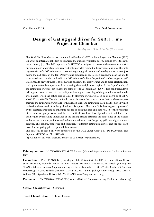# **Design of Gating grid driver for SπRIT Time Projection Chamber**

*Tuesday, May 19, 2015 5:40 PM (25 minutes)*

The SAMURAI Pion-Reconstruction and Ion-Tracker (SπRIT), a Time Projection Chamber (TPC) is part of an international effort to constrain the nuclear symmetry energy around twice the saturation density [1]. The field cage of the SπRIT TPC is designed to measure the momentum distribution of pions and isotopically resolved light particles emitted in heavy ion collisions. The field cage consists of a drift volume and three wire (gating grid, ground and anode) planes located just below the pad plane at the top. Positive ions produced in an electron avalanche near the anode wires can distort the electric field in the drift volume of a Time Projection Chamber. A gating grid is designed to prevent these ions from going back into the drift volume and to block electrons ionized by unreacted beam particles from entering the multiplication region. In the "open" mode, all the gating grid wires are set to have the same potentials (nominally -110 V). This condition allows drifting electrons to pass into the multiplication region consisting of the ground wire and anode wire planes. When the gating grid is "closed", alternate wires are biased up or down by about 70 V (-40 V and -180 V). The electric field created between the wires assures that no electrons pass through the gating grid wire plane to the anode plane. The gating grid has a dead region in which ionization electrons drift to the grid before it is opened. The size of this dead region is governed by the electron drift time and the time needed to open the gate. It is also related to the properties of the detector gas, pressure, and the electric field. We have investigated how to minimize the dead region by matching impedance of the driving circuit, estimate the inductance of the system and tune resistance, capacitance and inductance values so that the gating grid runs slightly underdamped. The designs, properties and operation of different gating grid drivers and the time each takes for the gating grid to open will be discussed.

This material is based on work supported by the DOE under Grant No. DE-SC0004835, and Japanese MEXT Grant No. 24105004.

[1] R. Shane et al., Nucl. Instrum. and Meth. A (accept for publication)

#### **Primary author:** Mr TANGWANCHAROEN, suwat (National Superconducting Cyclotron Laboratory)

**Co-authors:** Prof. TSANG, Betty (Michigan State University); Mr JHANG, Genie (Korea University); Dr BABA, Hidetada (RIKEN, Nishina Center); Dr KURATA-NISHIMURA, Mizuki (RIKEN); Dr SHANE, Rebecca (National Superconducting Cyclotron Laboratory); Mr WANG, Rensheng (Tsinghua University); ISOBE, Tadaaki (RIKEN); Mr USUKURA, Takumi (Rikkyo University); Prof. LYNCH, William (Michigan State University); Ms ZHANG, Yan (Tsinghua University)

**Presenter:** Mr TANGWANCHAROEN, suwat (National Superconducting Cyclotron Laboratory)

#### **Session Classification:** Session 8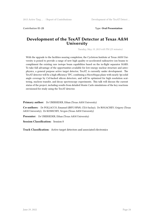#### Contribution ID: **25** Type: **Oral Presentation**

# **Development of the TexAT Detector at Texas A&M University**

*Tuesday, May 19, 2015 6:05 PM (25 minutes)*

With the upgrade to the facilities nearing completion, the Cyclotron Institute at Texas A&M University is poised to provide a range of new high quality re-accelerated radioactive ion beams to compliment the existing rare isotope beam capabilities based on the in-flight separator MARS. To take full advantage of the opportunities available for low-energy nuclear structure and astrophysics, a general purpose active target detector, TexAT, is currently under development. The TexAT detector will be a high efficiency TPC, combining a MicroMegas plane with nearly 3pi solid angle coverage by CsI-backed silicon detectors, and will be optimized for high resolution scattering, nucleon transfer, and decay spectroscopy experiments. This talk will discuss the current status of the project, including results from detailed Monte Carlo simulations of the key reactions envisioned for study using the TexAT detector.

**Primary author:** Dr UBERSEDER, Ethan (Texas A&M University)

**Co-authors:** Dr POLLACCO, Emanuel (IRFU/SPhN, CEA-Saclay); Dr ROGACHEV, Grigory (Texas A&M University); Dr KOSHCHIY, Yevgen (Texas A&M University)

**Presenter:** Dr UBERSEDER, Ethan (Texas A&M University)

**Session Classification:** Session 8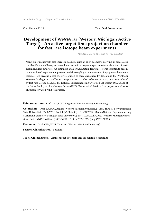Contribution ID: **26** Type: **Oral Presentation**

# **Development of WeMATar (Western Michigan Active Target) - An active target time projection chamber for fast rare isotope beam experiments**

*Monday, May 18, 2015 3:15 PM (25 minutes)*

Many experiments with fast energetic beams require an open geometry allowing, in some cases, the identification of heavy residues downstream in a magnetic spectrometer or detection of particles in ancillary detectors. An optimized and portable Active Target detector is essential to accommodate a broad experimental program and the coupling to a wide range of equipment the science requires. We present a cost effective solution to these challenges by developing the WeMATar –Western Michigan Active Target time projection chamber to be used to study reactions induced by fast rare isotope beams at the National Superconducting Cyclotron Laboratory (NSCL) and at the future Facility for Rare Isotope Beams (FRIB). The technical details of the project as well as its physics motivation will be discussed.

Primary author: Prof. CHAJECKI, Zbigniew (Western Michigan University)

**Co-authors:** Prof. KAYANI, Asghar (Western Michigan University); Prof. TSANG, Betty (Michigan State University); Dr BAZIN, Daniel (NSCL/MSU); Dr CORTESI, Marco (National Superconducting Cyclotron Laboratory (Michigan State University)); Prof. PANCELLA, Paul (Western Michigan University); Prof. LYNCH, William (NSCL/MSU); Prof. MITTIG, Wolfgang (MSU-NSCL)

**Presenter:** Prof. CHAJECKI, Zbigniew (Western Michigan University)

**Session Classification:** Session 3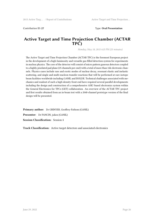Contribution ID: **27** Type: **Oral Presentation**

### **Active Target and Time Projection Chamber (ACTAR TPC)**

*Monday, May 18, 2015 4:25 PM (25 minutes)*

The Active Target and Time Projection Chamber (ACTAR TPC) is the foremost European project in the development of a high-luminosity and versatile gas-filled detection system for experiments in nuclear physics. The core of the detector will consist of micro pattern gaseous detectors coupled to a highly pixelated pad plane (25 channels per cm2) with a total of more than 16k electronic channels. Physics cases include rare and exotic modes of nuclear decay, resonant elastic and inelastic scattering, and single and multi-nucleon transfer reactions that will be performed at rare isotope beam facilities worldwide including GANIL and ISOLDE. Technical challenges associated with mechanics and readout of such a high-density front end have required several parallel developments including the design and construction of a comprehensive ASIC-based electronics system within the General Electronics for TPCs (GET) collaboration. An overview of the ACTAR TPC project and first results obtained from an in-beam test with a 2048-channel prototype version of the final design will be presented.

**Primary author:** Dr GRINYER, Geoffrey-Fathom (GANIL) **Presenter:** Dr PANCIN, julien (GANIL) **Session Classification:** Session 4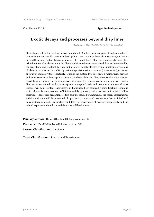Contribution ID: **28** Type: **Invited speaker**

# **Exotic decays and processes beyond drip lines**

*Wednesday, May 20, 2015 10:10 AM (35 minutes)*

The isotopes within the limiting lines of bound nuclei (or drip-lines) are goals of exploration for as many elements as possible. However the drip-line is not the end of the nuclear existence, and nuclei beyond the proton and neutron drip-lines may live much longer than the characteristic time of an orbital motion of nucleons in nuclei. These nuclei called resonances have lifetimes determined by the centrifugal and Coulomb barriers and also are strongly affected by pair nucleon correlations. Nuclear resonances can be studied by their decays via emission of proton(s) or neutron(s), or proton or neutron radioactivity, respectively. Outside the proton drip-line, proton radioactivity prevails and some isotopes with two-proton decays have been observed. They allow studying two-proton correlations in nuclei. Four-proton decay is also expected in some very exotic proton-rich nuclei. The new experimental results on two-proton decays of 19Mg and previously unobserved 30Ar isotopes will be presented. Their decays in-flight have been studied by using tracking technique which allows for measurements of lifetime and decay energy. Also neutron radioactivity will be reviewed. Theoretical predictions of this still unobserved phenomenon, the recent experimental activity and plans will be presented. In particular, the case of two-neutron decay of 26O will be considered in detail. Prospective candidates for observation of neutron radioactivity and the related experimental methods and detectors will be discussed.

**Primary author:** Dr MUKHA, Ivan (Helmholzzentrum GSI) **Presenter:** Dr MUKHA, Ivan (Helmholzzentrum GSI) **Session Classification:** Session 9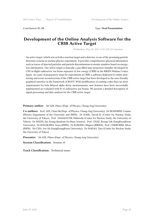#### Contribution ID: **29** Type: **Oral Presentation**

# **Development of the Online Analysis Software for the CRIB Active Target**

*Wednesday, May 20, 2015 11:00 AM (25 minutes)*

An active target, which acts as both a reaction target and a detector, is one of the promising particle detection systems in nuclear physics experiment. It provides comprehensive physical information such as traces of injected particles and particle discrimination in atomic numbers based on energyloss information. Our active target is basically a gas-filled time projection chamber developed by CNS in-flight radioactive ion beam separator at low energy (CRIB) in the RIKEN Nishina Center, Japan. As a part of preparatory steps for experiments at CRIB, a software dedicated to online monitoring and event reconstruction of the CRIB active target has been developed as the user-friendly graphical interface in the framework of ROOT. With modification of existing codes that can meet requirements for beta delayed alpha decay measurements, new features have been successfully implemented an evaluated with N-16 radioactive ion beams. We present a detailed description of signal processing and data analysis for the CRIB active target.

**Primary author:** Mr LEE, Pilsoo (Dept. of Physics, Chung-Ang University)

**Co-authors:** Prof. LEE, Chun Sik (Dept. of Physics, Chung-Ang University); Dr SIGNORINI, Cosimo (Physics Department of the University and INFN); Dr KAHL, David M. (Center for Nuclear Study, the University of Tokyo); Prof. YAMAGUCHI, Hidetoshi (Center for Nuclear Study, the University of Tokyo); Dr MOON, Jun Young (Institute for Basic Science); Prof. CHAE, Kyung Yuk (SungKyunKwan University); Dr HAYAKAWA, Seiya (INFN); Dr KUBONO, Shigeru (RIKEN); Prof. CHERUBINI, Silvio (INFN); Ms CHA, Soo Mi (SungKyungKwan University); Dr NAKAO, Taro (Center for Nuclear Study, the University of Tokyo)

**Presenter:** Mr LEE, Pilsoo (Dept. of Physics, Chung-Ang University)

**Session Classification:** Session 10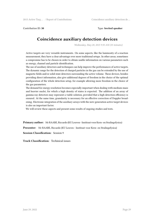Contribution ID: **30** Type: **Invited speaker**

# **Coincidence auxiliary detection devices**

*Wednesday, May 20, 2015 9:35 AM (35 minutes)*

Active targets are very versatile instruments. On some aspects, like the luminosity of a reaction measurement, they have a clear advantage over more traditional setups. In other areas, sometimes a compromise has to be chosen in order to obtain usable information on various parameters such as energy, channel and particle identification.

The use of auxiliary detectors and techniques can help improve the performances of active targets. The dynamic range for the detection of charged particles in the gas can be extended by the use of magnetic fields and/or solid-state detectors surrounding the active volume. These devices, besides providing direct information, also give additional degrees of freedom in the choice of the optimal configuration of the whole detection setup, for example allowing more freedom in the choice of the gas parameters.

The demand for energy resolution becomes especially important when dealing with medium-mass and heavier nuclei, for which a high density of states is expected. The addition of an array of gamma-ray detectors may represent a viable solution, provided that a high detection efficiency is ensured. At the same time, granularity is necessary for an effective correction of Doppler broadening. Electronic integration of the auxiliary arrays with the new-generation active target devices is also an important factor.

We will review these aspects and present some results of ongoing studies and tests.

**Primary author:** Mr RAABE, Riccardo (KU Leuven - Instituut voor Kern- en Stralingsfysica)

**Presenter:** Mr RAABE, Riccardo (KU Leuven - Instituut voor Kern- en Stralingsfysica)

**Session Classification:** Session 9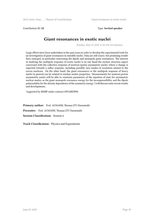Contribution ID: **32** Type: **Invited speaker**

# **Giant resonances in exotic nuclei**

*Tuesday, May 19, 2015 11:30 AM (35 minutes)*

Large efforts have been undertaken in the past years in order to develop the experimental tools for an investigation of giant resonances in unstable nuclei. Data are still scarce, but promising results have emerged, in particular concerning the dipole and monopole giant resonances. The interest in studying the multipole response of exotic nuclei is on one hand the nuclear structure aspect concerned with the collective response of neutron-rpoton asymmetric nuclei, where a change is expected towards a softer response, including possibly new modes of excitation related to the excess nucleons. On the other hand, the giant resonances or the multipole response of heavy nuclei in general can be related to nuclear matter properties. Measurements for neutron-proton asymmetric nuclei will be able to constrain parameters of the equation of state for asymmetric nuclear matter, as the giant monopole resonance energy for the incompressibility, and the dipole polarizability for the density dependence of the symmetry energy. I will discuss some recent results and developments.

\*supported by BMBF under contract 05P12RDFN8

**Primary author:** Prof. AUMANN, Thomas (TU Darmstadt)

Presenter: Prof. AUMANN, Thomas (TU Darmstadt)

**Session Classification:** Session 6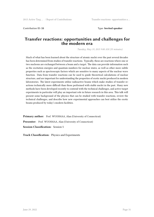Contribution ID: **33** Type: **Invited speaker**

# **Transfer reactions: opportunities and challenges for the modern era**

*Tuesday, May 19, 2015 9:00 AM (35 minutes)*

Much of what has been learned about the structure of atomic nuclei over the past several decades has been determined from studies of transfer reactions. Typically, these are reactions where one or two nucleons are exchanged between a beam and a target. The data can provide information such as the excitation energies and quantum numbers for nuclear states, as well as other more subtle properties such as spectroscopic factors which are sensitive to many aspects of the nuclear wave function. Data from transfer reactions can be used to guide theoretical calculations of nuclear structure, and are important for understanding the properties of exotic nuclei produced in modern laboratories. The latest experiments utilize radioactive beams which make studies of transfer reactions technically more difficult than those performed with stable nuclei in the past. Many new methods have been developed recently to contend with the technical challenges, and active-target experiments in particular will play an important role in future research in this area. This talk will present some background of the physics that can be studied with transfer reactions, review the technical challenges, and describe how new experimental approaches can best utilize the exotic beams produced by today's modern facilities.

**Primary author:** Prof. WUOSMAA, Alan (University of Connecticut) **Presenter:** Prof. WUOSMAA, Alan (University of Connecticut) **Session Classification:** Session 5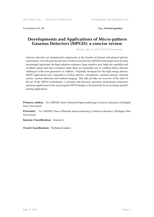Contribution ID: **34** Type: **Invited speaker**

# **Developments and Applications of Micro-pattern Gaseous Detectors (MPGD): a concise review**

*Tuesday, May 19, 2015 10:55 AM (35 minutes)*

Gaseous detectors are fundamental components at the frontier of present and planned physics experiments. Over the past decade Micro-Pattern Gas Detector (MPGD) technologies have become increasingly important; the high radiation resistance, large sensitive area, high rate capability and excellent spatial and time resolution make them an invaluable tool to confront future detector challenges at the next generation of colliders. Originally developed for the high energy physics, MPGD applications have expanded to nuclear physics, astrophysics, neutrino physics, material science, neutron detection and medical imaging. This talk provides an overview of the state-ofthe-art of the MPGD technologies: it presents and discusses operation mechanisms, properties and main applications of the most popular MPGD designs, with particular focus on charge-particle tacking applications.

**Primary author:** Dr CORTESI, Marco (National Superconducting Cyclotron Laboratory (Michigan State University))

**Presenter:** Dr CORTESI, Marco (National Superconducting Cyclotron Laboratory (Michigan State University))

**Session Classification:** Session 6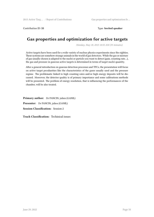Contribution ID: **35** Type: **Invited speaker**

# **Gas properties and optimization for active targets**

*Monday, May 18, 2015 10:55 AM (35 minutes)*

Active targets have been used for a wide variety of nuclear physics experiments since the eighties. These systems are somehow strange animals in the world of gas detectors. While the gas or mixture of gas usually chosen is adapted to the nuclei or particle you want to detect (gain, counting rate…), the gas and pressure in gaseous active targets is determined in terms of target nuclei quantity.

After a general introduction on gaseous detection processes and TPCs, the presentation will focus on active target peculiarities like the characteristics of the gases usually used and the pressure regime. The problematic linked to high counting rates and/or high energy deposits will be discussed. Moreover, the detector quality is of primary importance and some calibrations methods will be presented. The problem of energy resolution, that is influencing the performances of the chamber, will be also treated.

**Primary author:** Dr PANCIN, julien (GANIL) **Presenter:** Dr PANCIN, julien (GANIL) **Session Classification:** Session 2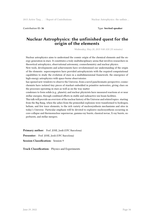Contribution ID: **36** Type: **Invited speaker**

# **Nuclear Astrophysics: the unfinished quest for the origin of the elements**

*Wednesday, May 20, 2015 9:00 AM (35 minutes)*

Nuclear astrophysics aims to understand the cosmic origin of the chemical elements and the energy generation in stars. It constitutes a truly multidisciplinary arena that involves researchers in theoretical astrophysics, observational astronomy, cosmochemistry and nuclear physics.

New tools, developments and achievements have revolutionized our understanding of the origin of the elements: supercomputers have provided astrophysicists with the required computational capabilities to study the evolution of stars in a multidimensional framework; the emergence of high-energy astrophysics with space-borne observatories

has opened new windows to observe the Universe, from a novel panchromatic perspective; cosmochemists have isolated tiny pieces of stardust embedded in primitive meteorites, giving clues on the processes operating in stars as well as on the way matter

condenses to form solids (e.g., planets); and nuclear physicists have measured reactions at or near stellar energies, through combined efforts in stable and radioactive ion beam facilities.

This talk will provide an overview of the nuclear history of the Universe and related topics: starting from the Big Bang, when the ashes from the primordial explosion were transformed to hydrogen, helium, and few trace elements, to the rich variety of nucleosynthesis mechanisms and sites in today's Universe. Particular emphasis will be devoted to explosive nucleosynthesis occurring in core-collapse and thermonuclear supernovae, gamma-ray bursts, classical novae, X-ray bursts, superbursts, and stellar mergers.

Primary author: Prof. JOSE, Jordi (UPC Barcelona)

**Presenter:** Prof. JOSE, Jordi (UPC Barcelona)

**Session Classification:** Session 9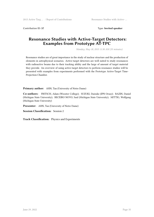Contribution ID: **37** Type: **Invited speaker**

# **Resonance Studies with Active-Target Detectors: Examples from Prototype AT-TPC**

*Monday, May 18, 2015 11:30 AM (35 minutes)*

Resonance studies are of great importance in the study of nuclear structure and the production of elements in astrophysical scenarios. Active-target detectors are well suited to study resonances with radioactive beams due to their tracking ability and the large of amount of target material they provide. An overview of using active-target detectors to perform resonance studies will be presented with examples from experiments performed with the Prototype Active-Target Time-Projection Chamber.

**Primary author:** AHN, Tan (University of Notre Dame)

**Co-authors:** FRITSCH, Adam (Wooster College); SUZUKI, Daisuke (IPN Orsay); BAZIN, Daniel (Michigan State University); BECEIRO NOVO, Saul (Michigan State University); MITTIG, Wolfgang (Michigan State University)

**Presenter:** AHN, Tan (University of Notre Dame)

**Session Classification:** Session 2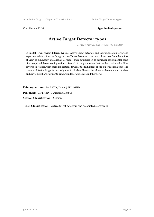Contribution ID: 38 Type: Invited speaker

# **Active Target Detector types**

*Monday, May 18, 2015 9:50 AM (30 minutes)*

In this talk I will review different types of Active Target detectors and their application to various experimental situations. Although Active Target detectors have clear advantages from the points of view of luminosity and angular coverage, their optimization to particular experimental goals often require different configurations. Several of the parameters that can be considered will be covered in relation with their implications towards the fulfillment of the experimental goals. The concept of Active Target is relatively new in Nuclear Physics, but already a large number of ideas on how to use it are starting to emerge in laboratories around the world.

**Primary author:** Mr BAZIN, Daniel (NSCL/MSU)

**Presenter:** Mr BAZIN, Daniel (NSCL/MSU)

**Session Classification:** Session 1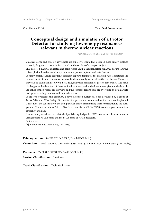Contribution ID: **39** Type: **Oral Presentation**

# **Conceptual design and simulation of a Proton Detector for studying low-energy resonances relevant in thermonuclear reactions**

*Monday, May 18, 2015 5:15 PM (25 minutes)*

Classical novae and type I x-ray bursts are explosive events that occur in close binary systems where hydrogen-rich material is accreted on the surface of a compact object.

This accreted material is heated and compressed until a thermonuclear runaway occurs. During this explosion heavier nuclei are produced via proton captures and beta decays.

In many proton capture reactions, resonant capture dominates the reaction rate. Sometimes the measurement of these resonances cannot be done directly with radioactive ion beams. However, they can be studied indirectly via beta-delayed proton emission of proton-rich nuclei. The main challenges in the detection of these emitted protons are that the kinetic energies and the branching ratios of the protons are very low and the corresponding peaks are overcome by beta particle backgrounds using standard solid state detectors .

In order to overcome this difficulty, a novel detection system has been developed by a group at Texas A&M and CEA Saclay. It consists of a gas volume where radioactive ions are implanted. Gas reduces the sensitivity to the beta-particles emitted minimizing their contribution to the background. The use of Micro Pattern Gas Detectors like MICROMEGAS assures a good resolution, efficiency and gain.

A detection system based on this technique is being designed at NSCL to measure these resonances using intense NSCL beams and the SeGA array of HPGe detectors. References:

[1] E. Pollacco et al. NIMA 723, 102 (2013)

**Primary author:** Dr PEREZ LOUREIRO, David (NSCL/MSU)

**Co-authors:** Prof. WREDE, Christopher (NSCL/MSU); Dr POLLACCO, Emmanuel (CEA/Saclay)

**Presenter:** Dr PEREZ LOUREIRO, David (NSCL/MSU)

**Session Classification:** Session 4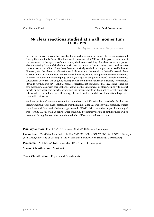Contribution ID: **40** Type: **Oral Presentation**

### **Nuclear reactions studied at small momentum transfers**

*Tuesday, May 19, 2015 4:25 PM (25 minutes)*

Several nuclear reactions are best investigated when the momentum transfer to the nucleus is small. Among these are the IsoScalar Giant Monopole Resonance (ISGMR) which helps determine one of the parameters of the equation of state, namely the incompressibility of nuclear matter, and proton elastic scattering from nuclei which is sensitive to parameters of nuclear density such as the matter root-mean-square radius. These have been extensively studied in the past using stable beams. However, with the advent of radioactive ion facilities around the world, it is desirable to study these reactions with unstable nuclei. The reactions, however, have to take place in inverse kinematics in which the radioactive ions impinge on a light target (hydrogen or helium). Simple kinematics calculations show that the outgoing recoil particles should be measured at extremely low energies (down to few hundred keV). Solid targets are, therefore, not suitable for these reactions. There are two methods to deal with this challenge: either do the experiments in storage rings with gas jet targets or any other thin targets, or perform the measurements with an active target which also acts as a detector. In both cases, the energy threshold will be much lower than a fixed target of a reasonable thickness.

We have performed measurements with the radioactive 56Ni using both methods. In the ring measurements, proton elastic scattering was the main goal for this nucleus while feasibility studies were done with 58Ni and a helium target to study ISGMR. With the active target, the main goal was to study ISGMR with an active target of helium. Preliminary results of both methods will be presented during the workshop and the methods will be compared to each other.

**Primary author:** Prof. KALANTAR, Nasser (KVI-CART/Univ. of Groningen)

**Co-authors:** ZAMORA, Juan Carlos; MAYA AND EXL COLLABORATIONS; Mr BAGCHI, Soumya (KVI-CART, University of Groningen, The Netherlands); MIRKO, Von Schmid (TU Darmstadt)

**Presenter:** Prof. KALANTAR, Nasser (KVI-CART/Univ. of Groningen)

**Session Classification:** Session 8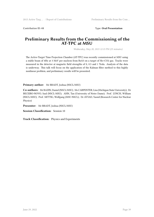#### Contribution ID: **41** Type: **Oral Presentation**

# **Preliminary Results from the Commissioning of the AT-TPC at MSU**

*Wednesday, May 20, 2015 12:15 PM (25 minutes)*

The Active-Target Time Projection Chamber (AT-TPC) was recently commissioned at MSU using a stable beam of 4He at 3 MeV per nucleon from ReA3 on a target of He+CO2 gas. Tracks were measured in the detector at magnetic field strengths of 0, 0.5 and 1 Tesla. Analysis of the data is underway. This talk will focus on the application of the Kalman filter method to this highly nonlinear problem, and preliminary results will be presented.

**Primary author:** Mr BRADT, Joshua (NSCL/MSU)

**Co-authors:** Mr BAZIN, Daniel (NSCL/MSU); Ms CARPENTER, Lisa (Michigan State University); Dr BECEIRO-NOVO, Saul (NSCL-MSU); AHN, Tan (University of Notre Dame); Prof. LYNCH, William (NSCL/MSU); Prof. MITTIG, Wolfgang (MSU-NSCL); Dr AYYAD, Yassid (Research Center for Nuclear Physics)

**Presenter:** Mr BRADT, Joshua (NSCL/MSU)

**Session Classification:** Session 10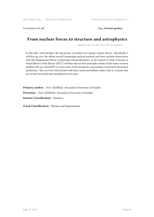Contribution ID: **42** Type: **Invited speaker**

# **From nuclear forces to structure and astrophysics**

*Monday, May 18, 2015 9:15 AM (35 minutes)*

In this talk I will introduce the big picture of modern low-energy nuclear theory. Specifically, I will first go over the efforts toward connecting nucleon-nucleon and three-nucleon interactions with the fundamental theory of Quantum Chromodynamics, in the context of what is known as chiral Effective Field Theory (EFT). I will then discuss first-principles studies of the many-nucleon problem that use chiral EFT to assess some of the systematic uncertainties involved in theoretical predictions. This overview will include both finite nuclei and infinite matter, that is, systems that are of both terrestrial and astrophysical relevance.

**Primary author:** Prof. GEZERLIS, Alexandros (University of Guelph) **Presenter:** Prof. GEZERLIS, Alexandros (University of Guelph) **Session Classification:** Session 1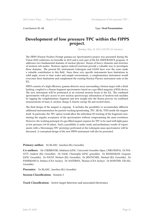#### Contribution ID: **43** Type: **Oral Presentation**

# **Development of low pressure TPC within the FIPPS project.**

*Monday, May 18, 2015 2:00 PM (25 minutes)*

The FIPPS (Fission Product Prompt gamma-ray Spectrometer) project was presented during the Vision 2020 conference in Grenoble in 2010 and is now part of the ILL ENDURANCE program. It addresses two fundamental domains of nuclear physics: fission of heavy elements and structure of neutron rich matter. Neutron capture induced reactions provide a valuable way to investigate these domains. The present ILL instruments Lohengrin and GAMS have over the years made a valuable contribution to this field. Since these very specific instruments have limitations in solid angle, access to time scales and sample environment, a complementary instrument would overcome these limitations and complement the existing Nuclear Physics instrument suite at the ILL.

FIPPS consists of a high efficiency gamma detector array surrounding a fission target with a thick backing, coupled to a fission fragment spectrometer based on a gas filled magnetic (GFM) device. The new instrument will be positioned at an external neutron beam at the ILL. The combined spectrometer will give access to new nuclear spectroscopy information of neutron-rich nuclides by tagging the complementary fragment and new insight into the fission process via combined measurements of mass A, nuclear charge Z, kinetic energy Ek and excited states .

The final design of the magnet is ongoing. It includes the possibility to accommodate different additional instrumentation for particle tracking (positioning, TPC, dE/dx, TOF) inside the magnet itself. In particular, the TPC option would allow the individual 3D tracking of the fragments maximizing the angular acceptance of the spectrometer without compromising the mass resolution. However, the working principal of a gas-filled magnet requires for TPC to be used with light gases at low pressure (10-50 mbar). Such a possibility is under study and preliminary results of experiments with a Micromegas TPC prototype performed at the Lohengrin mass spectrometer will be discussed. A conceptual design of the new FIPPS instrument will also be presented.

#### **Primary author:** Dr BLANC, Aurelien (ILL Grenoble)

**Co-authors:** Mr CHEBBOUBI, Abdelaziz (LPSC, Université Grenoble-Alpes, CNRS/IN2P3); Dr POL-LITT, Andrew (ILL Grenoble); Dr SAGE, Christophe (LPSC grenoble); Dr KESSEDJIAN, Gregoire (LPSC Grenoble); Dr FAUST, Herbert (ILL Grenoble); Dr JENTSCHEL, Michael (ILL Grenoble); Dr PANEBIANCO, Stefano (CEA Saclay); Dr MATERNA, Thomas (CEA Saclay); Dr KOESTER, Ulli (ILL Grenoble)

**Presenter:** Dr BLANC, Aurelien (ILL Grenoble)

**Session Classification:** Session 3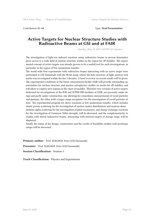Contribution ID: **44** Type: **Oral Presentation**

# **Active Targets for Nuclear Structure Studies with Radioactive Beams at GSI and at FAIR**

*Monday, May 18, 2015 3:40 PM (25 minutes)*

The investigation of light-ion induced reactions using radioactive beams in inverse kinematics gives access to a wide field of nuclear structure studies in the region far off stability. The experimental concept of active targets was already proven to be a usefull tool for such investigations, in particular in the region of low momentum transfer.

The world wide first experiments with radioactive beams interacting with an active target were performed at GSI Darmstadt with the IKAR setup, where the halo structure of light neutron-rich nuclei was investigated within the last 3 decades. A brief overview on recent results will be given. The experimental conditions at the future international facility FAIR will provide outstanding opportunities for nuclear structure and nuclear astrophysics studies on nuclei far off stability, and will allow to explore new regions in the chart of nuclides. Therefore two versions of active targets, dedicated for investigations at the R3B and SUPER-FRS facilities at FAIR, are presently under design and partly under construction, one allowing for coincidence measurements of recoil particles and gammas, the other with a larger range acceptance for the investigation of recoil particles allone. The experimental program for direct reactions at low momentum transfer, which includes elastic proton scattering for the investigation of nuclear matter distributions and neutron skins,

inelastic alpha scattering for the investigation of giant resonances, and charge exchange reactions for the investigation of Gammow-Teller strength, will be discussed, and the complementarity to studies with stored radioactive beams, interacting with internal targets of storage rings, will be displayed.

Finally the status of the design, construction and the results of feasibility studies with prototype setups will be discussed.

**Primary author:** Prof. EGELHOF, Peter (GSI Darmstadt) **Presenter:** Prof. EGELHOF, Peter (GSI Darmstadt)

**Session Classification:** Session 3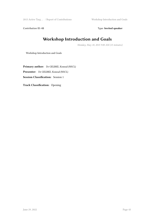2015 Active Targ ... / Report of Contributions Workshop Introduction and Goals

Contribution ID: 45 Type: Invited speaker

# **Workshop Introduction and Goals**

*Monday, May 18, 2015 9:00 AM (15 minutes)*

Workshop Introduction and Goals

**Primary author:** Dr GELBKE, Konrad (NSCL) **Presenter:** Dr GELBKE, Konrad (NSCL) **Session Classification:** Session 1

**Track Classification:** Opening